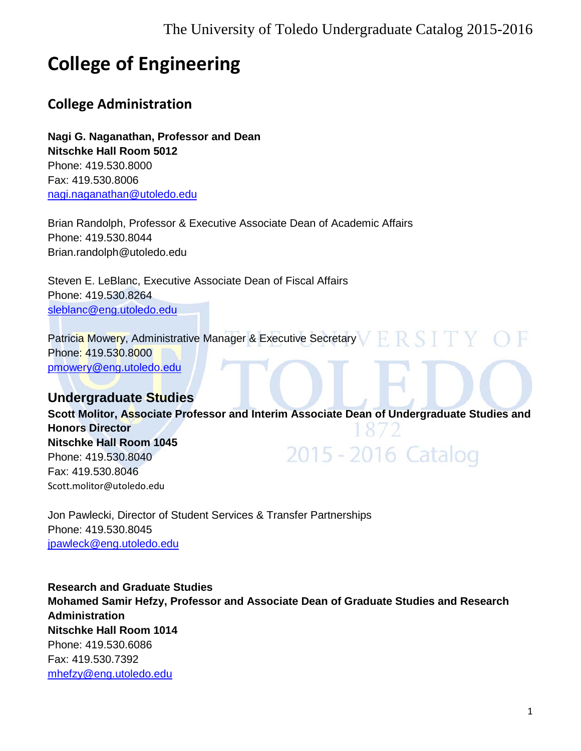# **College of Engineering**

## **College Administration**

**Nagi G. Naganathan, Professor and Dean Nitschke Hall Room 5012** Phone: 419.530.8000 Fax: 419.530.8006 [nagi.naganathan@utoledo.edu](mailto:nagi.naganathan@utoledo.edu)

Brian Randolph, Professor & Executive Associate Dean of Academic Affairs Phone: 419.530.8044 Brian.randolph@utoledo.edu

Steven E. LeBlanc, Executive Associate Dean of Fiscal Affairs Phone: 419.530.8264 [sleblanc@eng.utoledo.edu](mailto:sleblanc@eng.utoledo.edu)

Patricia Mowery, Administrative Manager & Executive Secretary **FIRISTITY** Phone: 419.530.8000 [pmowery@eng.utoledo.edu](mailto:pmowery@eng.utoledo.edu)

#### **Undergraduate Studies**

**Scott Molitor, Associate Professor and Interim Associate Dean of Undergraduate Studies and Honors Director Nitschke Hall Room 1045**  2015 - 2016 Catalog Phone: 419.530.8040 Fax: 419.530.8046 Scott.molitor@utoledo.edu

Jon Pawlecki, Director of Student Services & Transfer Partnerships Phone: 419.530.8045 [jpawleck@eng.utoledo.edu](mailto:jpawleck@eng.utoledo.edu)

**Research and Graduate Studies Mohamed Samir Hefzy, Professor and Associate Dean of Graduate Studies and Research Administration Nitschke Hall Room 1014**  Phone: 419.530.6086 Fax: 419.530.7392 [mhefzy@eng.utoledo.edu](mailto:mhefzy@eng.utoledo.edu)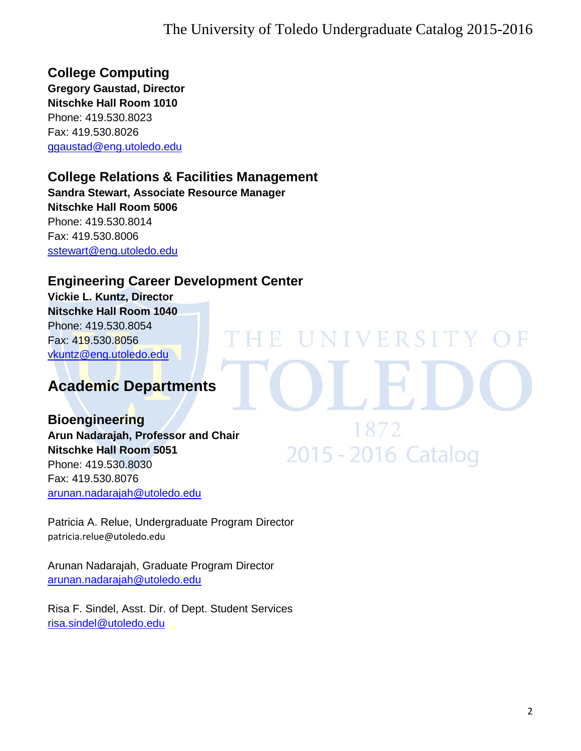E UNIVERSITY

 $18/2$ 

2015 - 2016 Catalog

**College Computing Gregory Gaustad, Director Nitschke Hall Room 1010**  Phone: 419.530.8023 Fax: 419.530.8026 [ggaustad@eng.utoledo.edu](mailto:ggaustad@eng.utoledo.edu)

## **College Relations & Facilities Management**

**Sandra Stewart, Associate Resource Manager Nitschke Hall Room 5006**  Phone: 419.530.8014 Fax: 419.530.8006 [sstewart@eng.utoledo.edu](mailto:sstewart@eng.utoledo.edu)

#### **Engineering Career Development Center**

**Vickie L. Kuntz, Director Nitschke Hall Room 1040** Phone: 419.530.8054 Fax: 419.530.8056 [vkuntz@eng.utoledo.edu](mailto:vkuntz@eng.utoledo.edu)

## **Academic Departments**

**Bioengineering Arun Nadarajah, Professor and Chair Nitschke Hall Room 5051**  Phone: 419.530.8030 Fax: 419.530.8076 [arunan.nadarajah@utoledo.edu](mailto:arunan.nadarajah@utoledo.edu)

Patricia A. Relue, Undergraduate Program Director patricia.relue@utoledo.edu

Arunan Nadarajah, Graduate Program Director [arunan.nadarajah@utoledo.edu](mailto:arunan.nadarajah@utoledo.edu)

Risa F. Sindel, Asst. Dir. of Dept. Student Services [risa.sindel@utoledo.edu](mailto:risa.sindel@utoledo.edu)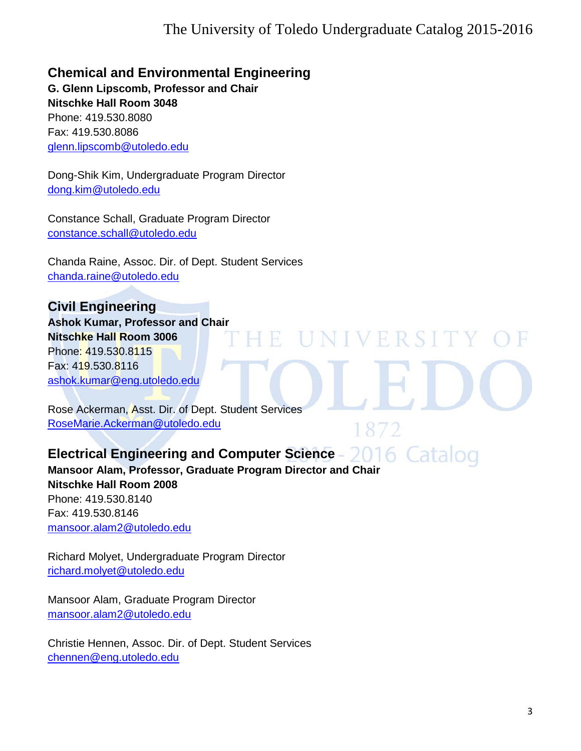E UNIVERSITY

#### **Chemical and Environmental Engineering**

**G. Glenn Lipscomb, Professor and Chair Nitschke Hall Room 3048**  Phone: 419.530.8080 Fax: 419.530.8086 [glenn.lipscomb@utoledo.edu](mailto:glenn.lipscomb@utoledo.edu)

Dong-Shik Kim, Undergraduate Program Director [dong.kim@utoledo.edu](mailto:dong.kim@utoledo.edu)

Constance Schall, Graduate Program Director [constance.schall@utoledo.edu](mailto:constance.schall@utoledo.edu)

Chanda Raine, Assoc. Dir. of Dept. Student Services [chanda.raine@utoledo.edu](mailto:chanda.raine@utoledo.edu)

#### **Civil Engineering**

**Ashok Kumar, Professor and Chair Nitschke Hall Room 3006**  Phone: 419.530.8115 Fax: 419.530.8116 [ashok.kumar@eng.utoledo.edu](mailto:ashok.kumar@eng.utoledo.edu)

Rose Ackerman, Asst. Dir. of Dept. Student Services [RoseMarie.Ackerman@utoledo.edu](mailto:RoseMarie.Ackerman@utoledo.edu)

2016 Catalog **Electrical Engineering and Computer Science Mansoor Alam, Professor, Graduate Program Director and Chair Nitschke Hall Room 2008**  Phone: 419.530.8140 Fax: 419.530.8146 [mansoor.alam2@utoledo.edu](mailto:mansoor.alam2@utoledo.edu)

Richard Molyet, Undergraduate Program Director [richard.molyet@utoledo.edu](mailto:richard.molyet@utoledo.edu)

Mansoor Alam, Graduate Program Director [mansoor.alam2@utoledo.edu](mailto:mansoor.alam2@utoledo.edu)

Christie Hennen, Assoc. Dir. of Dept. Student Services [chennen@eng.utoledo.edu](mailto:chennen@eng.utoledo.edu)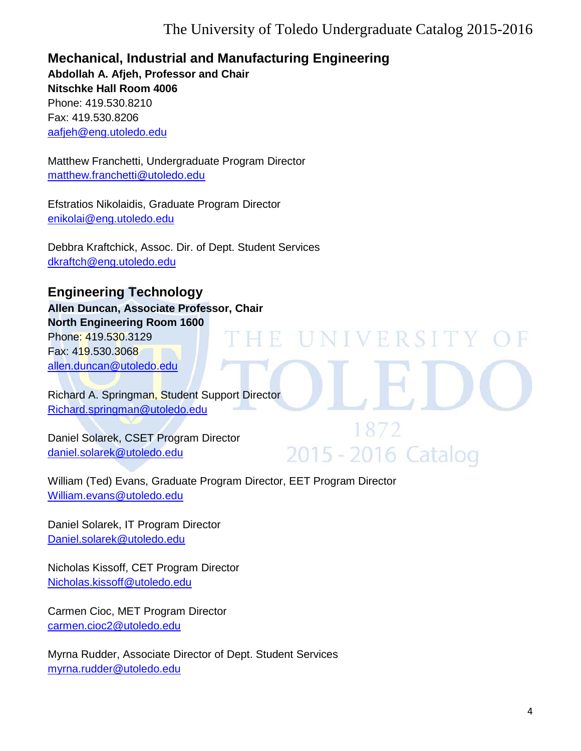E UNIVERSITY

2015 - 2016 Catalog

**Mechanical, Industrial and Manufacturing Engineering Abdollah A. Afjeh, Professor and Chair Nitschke Hall Room 4006**  Phone: 419.530.8210 Fax: 419.530.8206 [aafjeh@eng.utoledo.edu](mailto:aafjeh@eng.utoledo.edu)

Matthew Franchetti, Undergraduate Program Director [matthew.franchetti@utoledo.edu](mailto:matthew.franchetti@utoledo.edu)

Efstratios Nikolaidis, Graduate Program Director [enikolai@eng.utoledo.edu](mailto:enikolai@eng.utoledo.edu)

Debbra Kraftchick, Assoc. Dir. of Dept. Student Services [dkraftch@eng.utoledo.edu](mailto:dkraftch@eng.utoledo.edu)

#### **Engineering Technology**

**Allen Duncan, Associate Professor, Chair** 

**North Engineering Room 1600**  Phone: 419.530.3129 Fax: 419.530.3068 [allen.duncan@utoledo.edu](mailto:allen.duncan@utoledo.edu)

Richard A. Springman, Student Support Director [Richard.springman@utoledo.edu](mailto:Richard.springman@utoledo.edu)

Daniel Solarek, CSET Program Director [daniel.solarek@utoledo.edu](mailto:daniel.solarek@utoledo.edu)

William (Ted) Evans, Graduate Program Director, EET Program Director [William.evans@utoledo.edu](mailto:William.evans@utoledo.edu)

Daniel Solarek, IT Program Director [Daniel.solarek@utoledo.edu](mailto:Daniel.solarek@utoledo.edu)

Nicholas Kissoff, CET Program Director [Nicholas.kissoff@utoledo.edu](mailto:Nicholas.kissoff@utoledo.edu)

Carmen Cioc, MET Program Director [carmen.cioc2@utoledo.edu](mailto:carmen.cioc2@utoledo.edu)

Myrna Rudder, Associate Director of Dept. Student Services [myrna.rudder@utoledo.edu](mailto:myrna.rudder@utoledo.edu)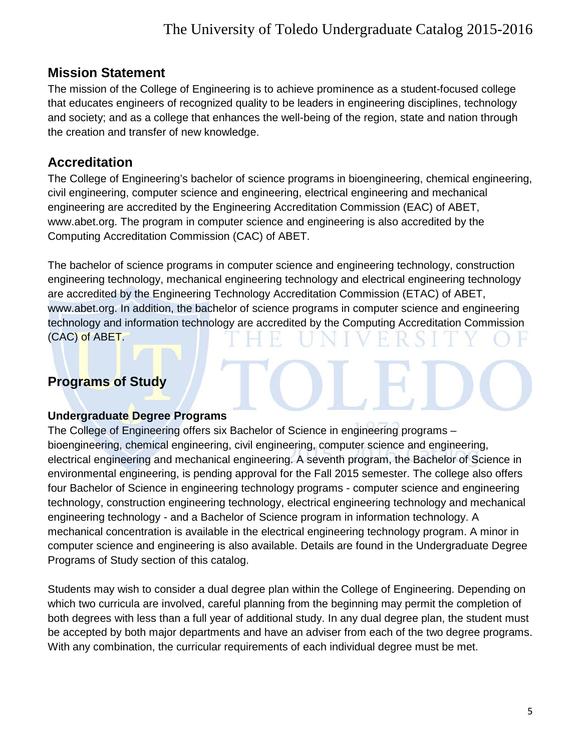#### **Mission Statement**

The mission of the College of Engineering is to achieve prominence as a student-focused college that educates engineers of recognized quality to be leaders in engineering disciplines, technology and society; and as a college that enhances the well-being of the region, state and nation through the creation and transfer of new knowledge.

#### **Accreditation**

The College of Engineering's bachelor of science programs in bioengineering, chemical engineering, civil engineering, computer science and engineering, electrical engineering and mechanical engineering are accredited by the Engineering Accreditation Commission (EAC) of ABET, www.abet.org. The program in computer science and engineering is also accredited by the Computing Accreditation Commission (CAC) of ABET.

The bachelor of science programs in computer science and engineering technology, construction engineering technology, mechanical engineering technology and electrical engineering technology are accredited by the Engineering Technology Accreditation Commission (ETAC) of ABET, www.abet.org. In addition, the bachelor of science programs in computer science and engineering technology and information technology are accredited by the Computing Accreditation Commission (CAC) of ABET.

### **Programs of Study**

#### **Undergraduate Degree Programs**

The College of Engineering offers six Bachelor of Science in engineering programs – bioengineering, chemical engineering, civil engineering, computer science and engineering, electrical engineering and mechanical engineering. A seventh program, the Bachelor of Science in environmental engineering, is pending approval for the Fall 2015 semester. The college also offers four Bachelor of Science in engineering technology programs - computer science and engineering technology, construction engineering technology, electrical engineering technology and mechanical engineering technology - and a Bachelor of Science program in information technology. A mechanical concentration is available in the electrical engineering technology program. A minor in computer science and engineering is also available. Details are found in the Undergraduate Degree Programs of Study section of this catalog.

Students may wish to consider a dual degree plan within the College of Engineering. Depending on which two curricula are involved, careful planning from the beginning may permit the completion of both degrees with less than a full year of additional study. In any dual degree plan, the student must be accepted by both major departments and have an adviser from each of the two degree programs. With any combination, the curricular requirements of each individual degree must be met.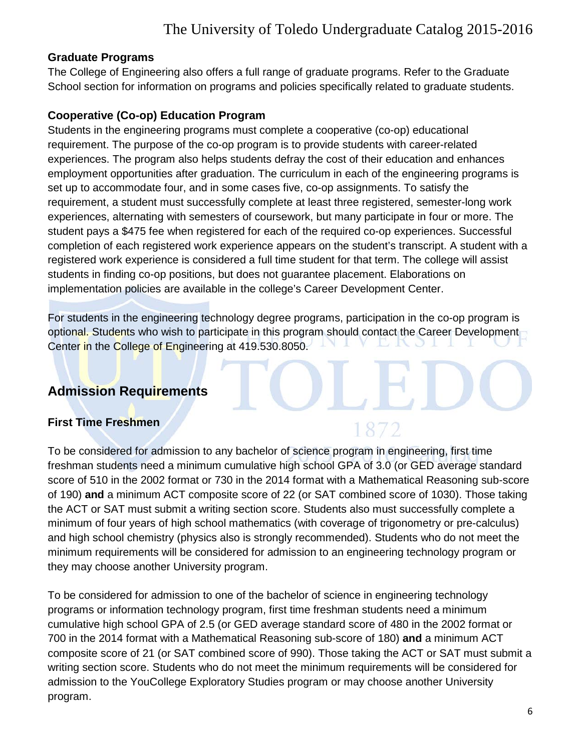#### **Graduate Programs**

The College of Engineering also offers a full range of graduate programs. Refer to the Graduate School section for information on programs and policies specifically related to graduate students.

#### **Cooperative (Co-op) Education Program**

Students in the engineering programs must complete a cooperative (co-op) educational requirement. The purpose of the co-op program is to provide students with career-related experiences. The program also helps students defray the cost of their education and enhances employment opportunities after graduation. The curriculum in each of the engineering programs is set up to accommodate four, and in some cases five, co-op assignments. To satisfy the requirement, a student must successfully complete at least three registered, semester-long work experiences, alternating with semesters of coursework, but many participate in four or more. The student pays a \$475 fee when registered for each of the required co-op experiences. Successful completion of each registered work experience appears on the student's transcript. A student with a registered work experience is considered a full time student for that term. The college will assist students in finding co-op positions, but does not guarantee placement. Elaborations on implementation policies are available in the college's Career Development Center.

For students in the engineering technology degree programs, participation in the co-op program is optional. Students who wish to participate in this program should contact the Career Development Center in the College of Engineering at 419.530.8050.

### **Admission Requirements**

#### **First Time Freshmen**

To be considered for admission to any bachelor of science program in engineering, first time freshman students need a minimum cumulative high school GPA of 3.0 (or GED average standard score of 510 in the 2002 format or 730 in the 2014 format with a Mathematical Reasoning sub-score of 190) **and** a minimum ACT composite score of 22 (or SAT combined score of 1030). Those taking the ACT or SAT must submit a writing section score. Students also must successfully complete a minimum of four years of high school mathematics (with coverage of trigonometry or pre-calculus) and high school chemistry (physics also is strongly recommended). Students who do not meet the minimum requirements will be considered for admission to an engineering technology program or they may choose another University program.

To be considered for admission to one of the bachelor of science in engineering technology programs or information technology program, first time freshman students need a minimum cumulative high school GPA of 2.5 (or GED average standard score of 480 in the 2002 format or 700 in the 2014 format with a Mathematical Reasoning sub-score of 180) **and** a minimum ACT composite score of 21 (or SAT combined score of 990). Those taking the ACT or SAT must submit a writing section score. Students who do not meet the minimum requirements will be considered for admission to the YouCollege Exploratory Studies program or may choose another University program.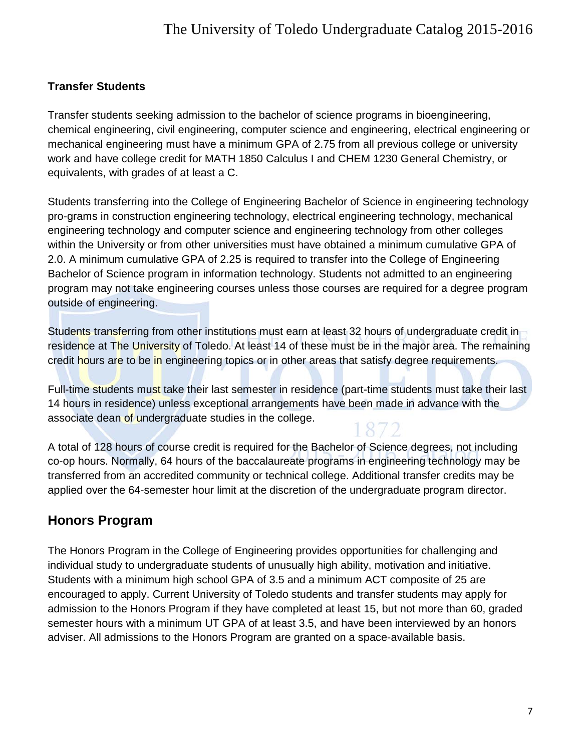#### **Transfer Students**

Transfer students seeking admission to the bachelor of science programs in bioengineering, chemical engineering, civil engineering, computer science and engineering, electrical engineering or mechanical engineering must have a minimum GPA of 2.75 from all previous college or university work and have college credit for MATH 1850 Calculus I and CHEM 1230 General Chemistry, or equivalents, with grades of at least a C.

Students transferring into the College of Engineering Bachelor of Science in engineering technology pro-grams in construction engineering technology, electrical engineering technology, mechanical engineering technology and computer science and engineering technology from other colleges within the University or from other universities must have obtained a minimum cumulative GPA of 2.0. A minimum cumulative GPA of 2.25 is required to transfer into the College of Engineering Bachelor of Science program in information technology. Students not admitted to an engineering program may not take engineering courses unless those courses are required for a degree program outside of engineering.

Students transferring from other institutions must earn at least 32 hours of undergraduate credit in residence at The University of Toledo. At least 14 of these must be in the major area. The remaining credit hours are to be in engineering topics or in other areas that satisfy degree requirements.

Full-time students must take their last semester in residence (part-time students must take their last 14 hours in residence) unless exceptional arrangements have been made in advance with the associate dean of undergraduate studies in the college.

A total of 128 hours of course credit is required for the Bachelor of Science degrees, not including co-op hours. Normally, 64 hours of the baccalaureate programs in engineering technology may be transferred from an accredited community or technical college. Additional transfer credits may be applied over the 64-semester hour limit at the discretion of the undergraduate program director.

## **Honors Program**

The Honors Program in the College of Engineering provides opportunities for challenging and individual study to undergraduate students of unusually high ability, motivation and initiative. Students with a minimum high school GPA of 3.5 and a minimum ACT composite of 25 are encouraged to apply. Current University of Toledo students and transfer students may apply for admission to the Honors Program if they have completed at least 15, but not more than 60, graded semester hours with a minimum UT GPA of at least 3.5, and have been interviewed by an honors adviser. All admissions to the Honors Program are granted on a space-available basis.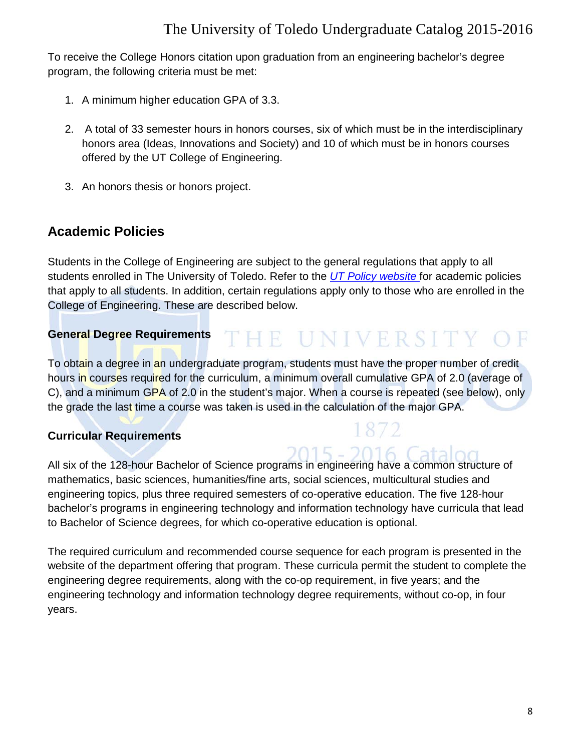THE UNIVERSITY

To receive the College Honors citation upon graduation from an engineering bachelor's degree program, the following criteria must be met:

- 1. A minimum higher education GPA of 3.3.
- 2. A total of 33 semester hours in honors courses, six of which must be in the interdisciplinary honors area (Ideas, Innovations and Society) and 10 of which must be in honors courses offered by the UT College of Engineering.
- 3. An honors thesis or honors project.

## **Academic Policies**

Students in the College of Engineering are subject to the general regulations that apply to all students enrolled in The University of Toledo. Refer to the *[UT Policy website](http://www.utoledo.edu/policies/)* for academic policies that apply to all students. In addition, certain regulations apply only to those who are enrolled in the College of Engineering. These are described below.

#### **General Degree Requirements**

To obtain a degree in an undergraduate program, students must have the proper number of credit hours in courses required for the curriculum, a minimum overall cumulative GPA of 2.0 (average of C), and a minimum GPA of 2.0 in the student's major. When a course is repeated (see below), only the grade the last time a course was taken is used in the calculation of the major GPA.

#### **Curricular Requirements**

All six of the 128-hour Bachelor of Science programs in engineering have a common structure of mathematics, basic sciences, humanities/fine arts, social sciences, multicultural studies and engineering topics, plus three required semesters of co-operative education. The five 128-hour bachelor's programs in engineering technology and information technology have curricula that lead to Bachelor of Science degrees, for which co-operative education is optional.

 $115$ 

The required curriculum and recommended course sequence for each program is presented in the website of the department offering that program. These curricula permit the student to complete the engineering degree requirements, along with the co-op requirement, in five years; and the engineering technology and information technology degree requirements, without co-op, in four years.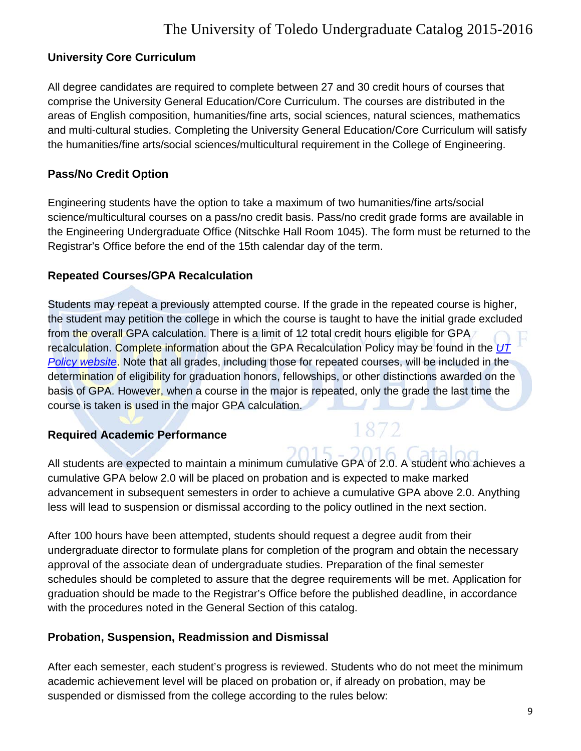#### **University Core Curriculum**

All degree candidates are required to complete between 27 and 30 credit hours of courses that comprise the University General Education/Core Curriculum. The courses are distributed in the areas of English composition, humanities/fine arts, social sciences, natural sciences, mathematics and multi-cultural studies. Completing the University General Education/Core Curriculum will satisfy the humanities/fine arts/social sciences/multicultural requirement in the College of Engineering.

#### **Pass/No Credit Option**

Engineering students have the option to take a maximum of two humanities/fine arts/social science/multicultural courses on a pass/no credit basis. Pass/no credit grade forms are available in the Engineering Undergraduate Office (Nitschke Hall Room 1045). The form must be returned to the Registrar's Office before the end of the 15th calendar day of the term.

#### **Repeated Courses/GPA Recalculation**

Students may repeat a previously attempted course. If the grade in the repeated course is higher, the student may petition the college in which the course is taught to have the initial grade excluded from the overall GPA calculation. There is a limit of 12 total credit hours eligible for GPA recalculation. Complete information about the GPA Recalculation Policy may be found in the *[UT](http://www.utoledo.edu/policies/)  [Policy website](http://www.utoledo.edu/policies/)*. Note that all grades, including those for repeated courses, will be included in the determination of eligibility for graduation honors, fellowships, or other distinctions awarded on the basis of GPA. However, when a course in the major is repeated, only the grade the last time the course is taken is used in the major GPA calculation.

#### **Required Academic Performance**

All students are expected to maintain a minimum cumulative GPA of 2.0. A student who achieves a cumulative GPA below 2.0 will be placed on probation and is expected to make marked advancement in subsequent semesters in order to achieve a cumulative GPA above 2.0. Anything less will lead to suspension or dismissal according to the policy outlined in the next section.

After 100 hours have been attempted, students should request a degree audit from their undergraduate director to formulate plans for completion of the program and obtain the necessary approval of the associate dean of undergraduate studies. Preparation of the final semester schedules should be completed to assure that the degree requirements will be met. Application for graduation should be made to the Registrar's Office before the published deadline, in accordance with the procedures noted in the General Section of this catalog.

#### **Probation, Suspension, Readmission and Dismissal**

After each semester, each student's progress is reviewed. Students who do not meet the minimum academic achievement level will be placed on probation or, if already on probation, may be suspended or dismissed from the college according to the rules below: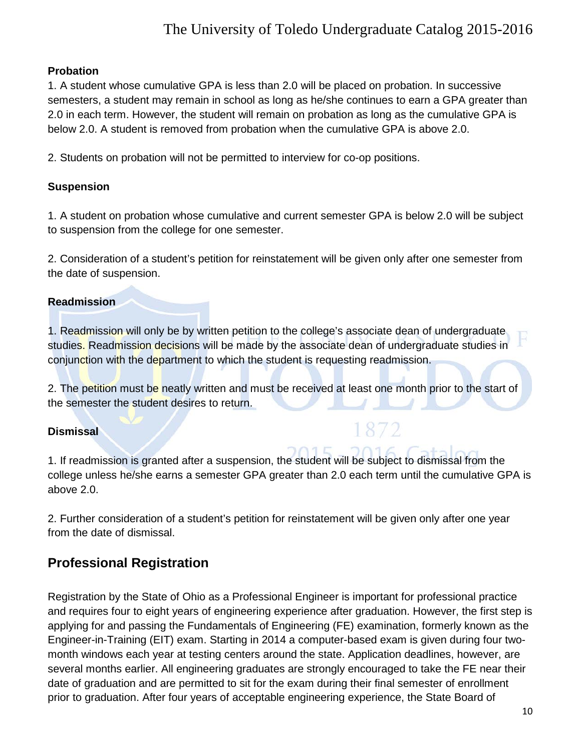#### **Probation**

1. A student whose cumulative GPA is less than 2.0 will be placed on probation. In successive semesters, a student may remain in school as long as he/she continues to earn a GPA greater than 2.0 in each term. However, the student will remain on probation as long as the cumulative GPA is below 2.0. A student is removed from probation when the cumulative GPA is above 2.0.

2. Students on probation will not be permitted to interview for co-op positions.

#### **Suspension**

1. A student on probation whose cumulative and current semester GPA is below 2.0 will be subject to suspension from the college for one semester.

2. Consideration of a student's petition for reinstatement will be given only after one semester from the date of suspension.

#### **Readmission**

1. Readmission will only be by written petition to the college's associate dean of undergraduate studies. Readmission decisions will be made by the associate dean of undergraduate studies in conjunction with the department to which the student is requesting readmission.

2. The petition must be neatly written and must be received at least one month prior to the start of the semester the student desires to return.

#### **Dismissal**

1. If readmission is granted after a suspension, the student will be subject to dismissal from the college unless he/she earns a semester GPA greater than 2.0 each term until the cumulative GPA is above 2.0.

2. Further consideration of a student's petition for reinstatement will be given only after one year from the date of dismissal.

## **Professional Registration**

Registration by the State of Ohio as a Professional Engineer is important for professional practice and requires four to eight years of engineering experience after graduation. However, the first step is applying for and passing the Fundamentals of Engineering (FE) examination, formerly known as the Engineer-in-Training (EIT) exam. Starting in 2014 a computer-based exam is given during four twomonth windows each year at testing centers around the state. Application deadlines, however, are several months earlier. All engineering graduates are strongly encouraged to take the FE near their date of graduation and are permitted to sit for the exam during their final semester of enrollment prior to graduation. After four years of acceptable engineering experience, the State Board of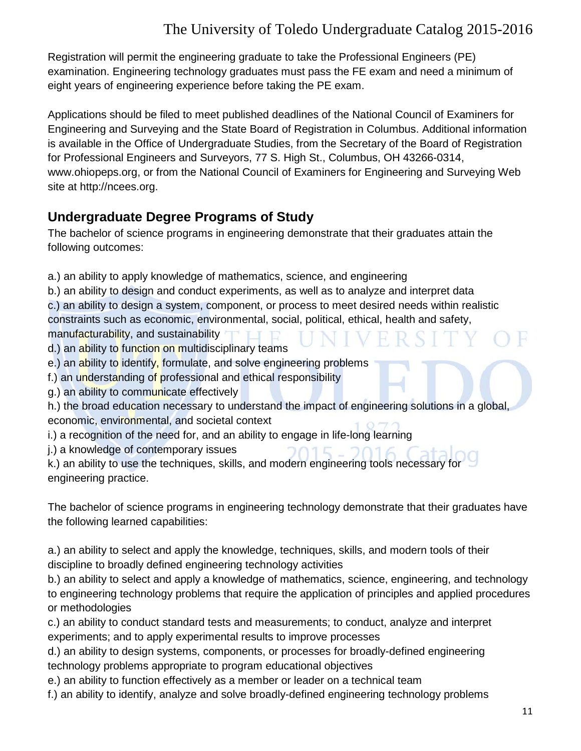Registration will permit the engineering graduate to take the Professional Engineers (PE) examination. Engineering technology graduates must pass the FE exam and need a minimum of eight years of engineering experience before taking the PE exam.

Applications should be filed to meet published deadlines of the National Council of Examiners for Engineering and Surveying and the State Board of Registration in Columbus. Additional information is available in the Office of Undergraduate Studies, from the Secretary of the Board of Registration for Professional Engineers and Surveyors, 77 S. High St., Columbus, OH 43266-0314, www.ohiopeps.org, or from the National Council of Examiners for Engineering and Surveying Web site at [http://ncees.org.](http://ncees.org/)

## **Undergraduate Degree Programs of Study**

The bachelor of science programs in engineering demonstrate that their graduates attain the following outcomes:

- a.) an ability to apply knowledge of mathematics, science, and engineering
- b.) an ability to design and conduct experiments, as well as to analyze and interpret data c.) an ability to design a system, component, or process to meet desired needs within realistic constraints such as economic, environmental, social, political, ethical, health and safety, manufacturability, and sustainability
- d.) an ability to function on multidisciplinary teams
- e.) an ability to identify, formulate, and solve engineering problems
- f.) an understanding of professional and ethical responsibility
- g.) an ability to communicate effectively
- h.) the broad education necessary to understand the impact of engineering solutions in a global, economic, environmental, and societal context
- i.) a recognition of the need for, and an ability to engage in life-long learning
- j.) a knowledge of contemporary issues

k.) an ability to use the techniques, skills, and modern engineering tools necessary for engineering practice.

The bachelor of science programs in engineering technology demonstrate that their graduates have the following learned capabilities:

a.) an ability to select and apply the knowledge, techniques, skills, and modern tools of their discipline to broadly defined engineering technology activities

b.) an ability to select and apply a knowledge of mathematics, science, engineering, and technology to engineering technology problems that require the application of principles and applied procedures or methodologies

c.) an ability to conduct standard tests and measurements; to conduct, analyze and interpret experiments; and to apply experimental results to improve processes

d.) an ability to design systems, components, or processes for broadly-defined engineering technology problems appropriate to program educational objectives

e.) an ability to function effectively as a member or leader on a technical team

f.) an ability to identify, analyze and solve broadly-defined engineering technology problems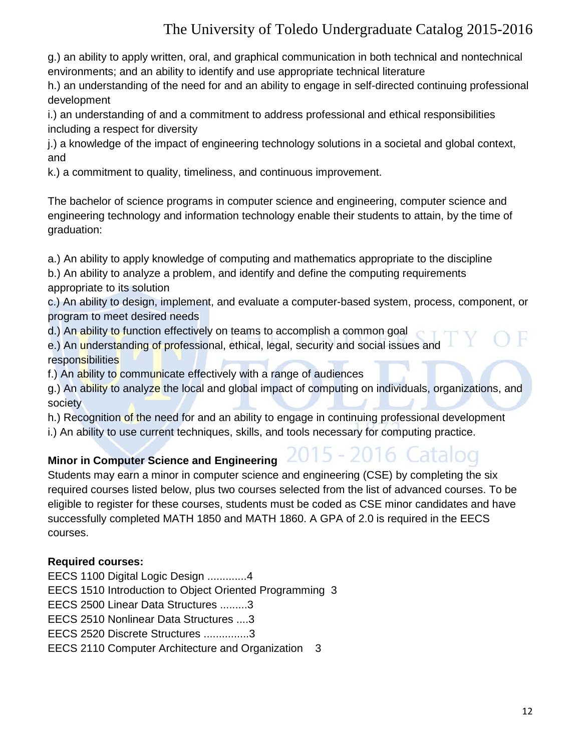g.) an ability to apply written, oral, and graphical communication in both technical and nontechnical environments; and an ability to identify and use appropriate technical literature

h.) an understanding of the need for and an ability to engage in self-directed continuing professional development

i.) an understanding of and a commitment to address professional and ethical responsibilities including a respect for diversity

j.) a knowledge of the impact of engineering technology solutions in a societal and global context, and

k.) a commitment to quality, timeliness, and continuous improvement.

The bachelor of science programs in computer science and engineering, computer science and engineering technology and information technology enable their students to attain, by the time of graduation:

a.) An ability to apply knowledge of computing and mathematics appropriate to the discipline

b.) An ability to analyze a problem, and identify and define the computing requirements appropriate to its solution

c.) An ability to design, implement, and evaluate a computer-based system, process, component, or program to meet desired needs

d.) An ability to function effectively on teams to accomplish a common goal

e.) An understanding of professional, ethical, legal, security and social issues and responsibilities

f.) An ability to communicate effectively with a range of audiences

g.) An ability to analyze the local and global impact of computing on individuals, organizations, and society

2015 - 2016 Catalog

h.) Recognition of the need for and an ability to engage in continuing professional development i.) An ability to use current techniques, skills, and tools necessary for computing practice.

#### **Minor in Computer Science and Engineering**

Students may earn a minor in computer science and engineering (CSE) by completing the six required courses listed below, plus two courses selected from the list of advanced courses. To be eligible to register for these courses, students must be coded as CSE minor candidates and have successfully completed MATH 1850 and MATH 1860. A GPA of 2.0 is required in the EECS courses.

#### **Required courses:**

EECS 1100 Digital Logic Design .............4 EECS 1510 Introduction to Object Oriented Programming 3 EECS 2500 Linear Data Structures .........3 EECS 2510 Nonlinear Data Structures ....3 EECS 2520 Discrete Structures ...............3 EECS 2110 Computer Architecture and Organization 3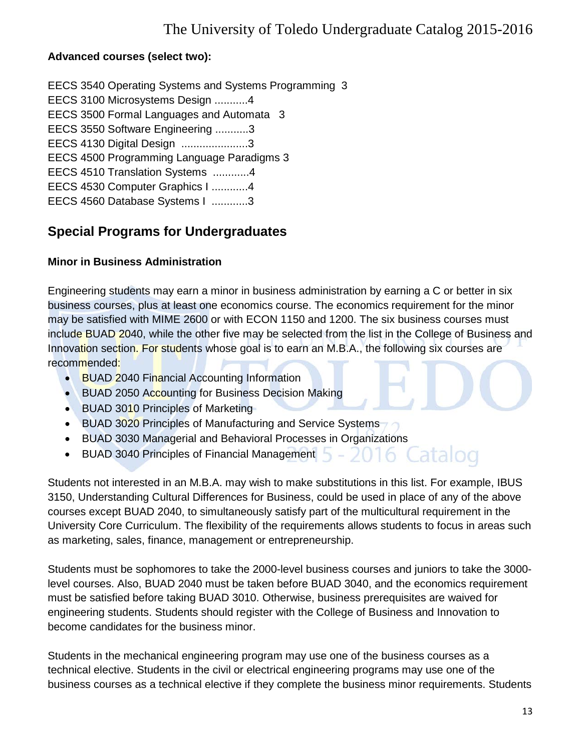#### **Advanced courses (select two):**

EECS 3540 Operating Systems and Systems Programming 3 EECS 3100 Microsystems Design ...........4 EECS 3500 Formal Languages and Automata 3 EECS 3550 Software Engineering ...........3 EECS 4130 Digital Design ......................3 EECS 4500 Programming Language Paradigms 3 EECS 4510 Translation Systems ............4 EECS 4530 Computer Graphics I ............4 EECS 4560 Database Systems I ............3

## **Special Programs for Undergraduates**

#### **Minor in Business Administration**

Engineering students may earn a minor in business administration by earning a C or better in six business courses, plus at least one economics course. The economics requirement for the minor may be satisfied with MIME 2600 or with ECON 1150 and 1200. The six business courses must include BUAD 2040, while the other five may be selected from the list in the College of Business and Innovation section. For students whose goal is to earn an M.B.A., the following six courses are recommended:

- BUAD 2040 Financial Accounting Information
- BUAD 2050 Accounting for Business Decision Making
- BUAD 3010 Principles of Marketing
- BUAD 3020 Principles of Manufacturing and Service Systems
- BUAD 3030 Managerial and Behavioral Processes in Organizations
- BUAD 3040 Principles of Financial Management

Students not interested in an M.B.A. may wish to make substitutions in this list. For example, IBUS 3150, Understanding Cultural Differences for Business, could be used in place of any of the above courses except BUAD 2040, to simultaneously satisfy part of the multicultural requirement in the University Core Curriculum. The flexibility of the requirements allows students to focus in areas such as marketing, sales, finance, management or entrepreneurship.

Students must be sophomores to take the 2000-level business courses and juniors to take the 3000 level courses. Also, BUAD 2040 must be taken before BUAD 3040, and the economics requirement must be satisfied before taking BUAD 3010. Otherwise, business prerequisites are waived for engineering students. Students should register with the College of Business and Innovation to become candidates for the business minor.

Students in the mechanical engineering program may use one of the business courses as a technical elective. Students in the civil or electrical engineering programs may use one of the business courses as a technical elective if they complete the business minor requirements. Students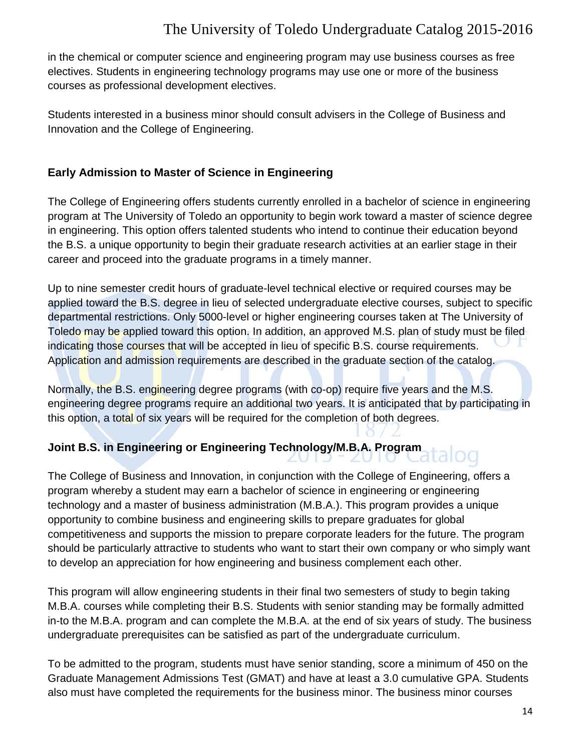in the chemical or computer science and engineering program may use business courses as free electives. Students in engineering technology programs may use one or more of the business courses as professional development electives.

Students interested in a business minor should consult advisers in the College of Business and Innovation and the College of Engineering.

#### **Early Admission to Master of Science in Engineering**

The College of Engineering offers students currently enrolled in a bachelor of science in engineering program at The University of Toledo an opportunity to begin work toward a master of science degree in engineering. This option offers talented students who intend to continue their education beyond the B.S. a unique opportunity to begin their graduate research activities at an earlier stage in their career and proceed into the graduate programs in a timely manner.

Up to nine semester credit hours of graduate-level technical elective or required courses may be applied toward the B.S. degree in lieu of selected undergraduate elective courses, subject to specific departmental restrictions. Only 5000-level or higher engineering courses taken at The University of Toledo may be applied toward this option. In addition, an approved M.S. plan of study must be filed indicating those courses that will be accepted in lieu of specific B.S. course requirements. Application and admission requirements are described in the graduate section of the catalog.

Normally, the B.S. engineering degree programs (with co-op) require five years and the M.S. engineering degree programs require an additional two years. It is anticipated that by participating in this option, a total of six years will be required for the completion of both degrees.

# **Joint B.S. in Engineering or Engineering Technology/M.B.A. Program**

The College of Business and Innovation, in conjunction with the College of Engineering, offers a program whereby a student may earn a bachelor of science in engineering or engineering technology and a master of business administration (M.B.A.). This program provides a unique opportunity to combine business and engineering skills to prepare graduates for global competitiveness and supports the mission to prepare corporate leaders for the future. The program should be particularly attractive to students who want to start their own company or who simply want to develop an appreciation for how engineering and business complement each other.

This program will allow engineering students in their final two semesters of study to begin taking M.B.A. courses while completing their B.S. Students with senior standing may be formally admitted in-to the M.B.A. program and can complete the M.B.A. at the end of six years of study. The business undergraduate prerequisites can be satisfied as part of the undergraduate curriculum.

To be admitted to the program, students must have senior standing, score a minimum of 450 on the Graduate Management Admissions Test (GMAT) and have at least a 3.0 cumulative GPA. Students also must have completed the requirements for the business minor. The business minor courses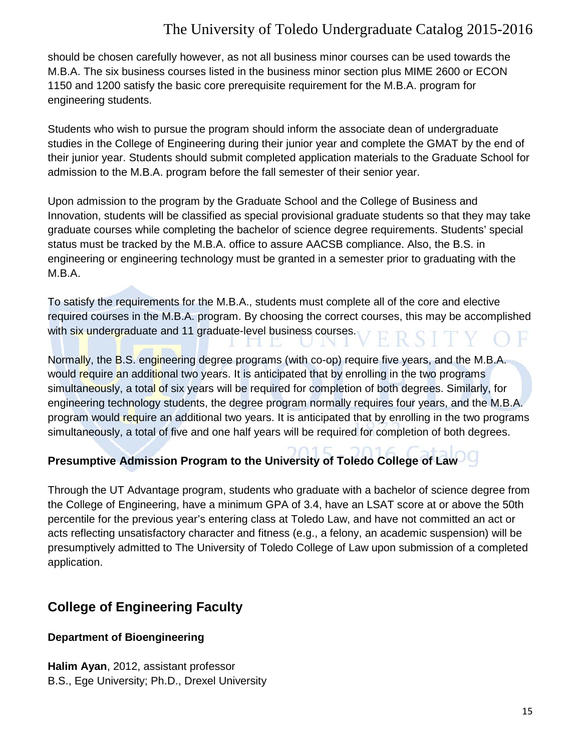should be chosen carefully however, as not all business minor courses can be used towards the M.B.A. The six business courses listed in the business minor section plus MIME 2600 or ECON 1150 and 1200 satisfy the basic core prerequisite requirement for the M.B.A. program for engineering students.

Students who wish to pursue the program should inform the associate dean of undergraduate studies in the College of Engineering during their junior year and complete the GMAT by the end of their junior year. Students should submit completed application materials to the Graduate School for admission to the M.B.A. program before the fall semester of their senior year.

Upon admission to the program by the Graduate School and the College of Business and Innovation, students will be classified as special provisional graduate students so that they may take graduate courses while completing the bachelor of science degree requirements. Students' special status must be tracked by the M.B.A. office to assure AACSB compliance. Also, the B.S. in engineering or engineering technology must be granted in a semester prior to graduating with the M.B.A.

To satisfy the requirements for the M.B.A., students must complete all of the core and elective required courses in the M.B.A. program. By choosing the correct courses, this may be accomplished with six undergraduate and 11 graduate-level business courses.

Normally, the B.S. engineering degree programs (with co-op) require five years, and the M.B.A. would require an additional two years. It is anticipated that by enrolling in the two programs simultaneously, a total of six years will be required for completion of both degrees. Similarly, for engineering technology students, the degree program normally requires four years, and the M.B.A. program would require an additional two years. It is anticipated that by enrolling in the two programs simultaneously, a total of five and one half years will be required for completion of both degrees.

## **Presumptive Admission Program to the University of Toledo College of Law**

Through the UT Advantage program, students who graduate with a bachelor of science degree from the College of Engineering, have a minimum GPA of 3.4, have an LSAT score at or above the 50th percentile for the previous year's entering class at Toledo Law, and have not committed an act or acts reflecting unsatisfactory character and fitness (e.g., a felony, an academic suspension) will be presumptively admitted to The University of Toledo College of Law upon submission of a completed application.

## **College of Engineering Faculty**

#### **Department of Bioengineering**

**Halim Ayan**, 2012, assistant professor B.S., Ege University; Ph.D., Drexel University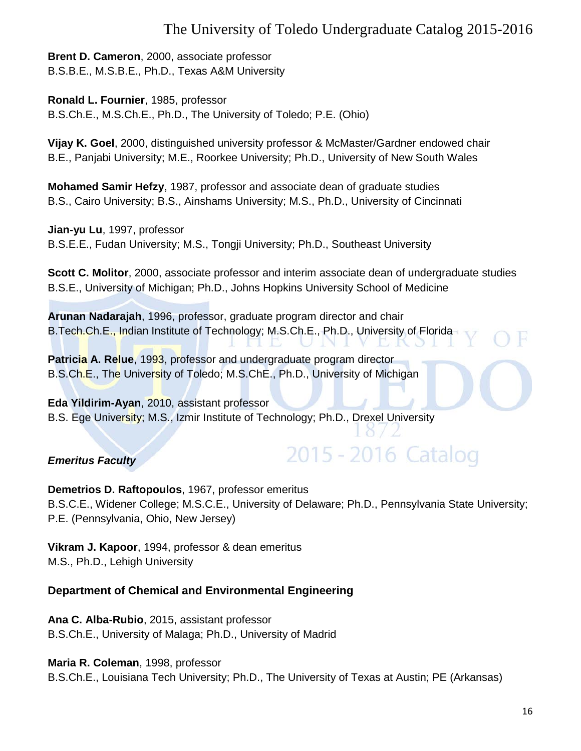**Brent D. Cameron**, 2000, associate professor B.S.B.E., M.S.B.E., Ph.D., Texas A&M University

**Ronald L. Fournier**, 1985, professor

B.S.Ch.E., M.S.Ch.E., Ph.D., The University of Toledo; P.E. (Ohio)

**Vijay K. Goel**, 2000, distinguished university professor & McMaster/Gardner endowed chair B.E., Panjabi University; M.E., Roorkee University; Ph.D., University of New South Wales

**Mohamed Samir Hefzy**, 1987, professor and associate dean of graduate studies B.S., Cairo University; B.S., Ainshams University; M.S., Ph.D., University of Cincinnati

**Jian-yu Lu**, 1997, professor B.S.E.E., Fudan University; M.S., Tongji University; Ph.D., Southeast University

**Scott C. Molitor**, 2000, associate professor and interim associate dean of undergraduate studies B.S.E., University of Michigan; Ph.D., Johns Hopkins University School of Medicine

**Arunan Nadarajah**, 1996, professor, graduate program director and chair B.Tech.Ch.E., Indian Institute of Technology; M.S.Ch.E., Ph.D., University of Florida **N**O

Patricia A. Relue, 1993, professor and undergraduate program director B.S.Ch.E., The University of Toledo; M.S.ChE., Ph.D., University of Michigan

**Eda Yildirim-Ayan**, 2010, assistant professor B.S. Ege University; M.S., Izmir Institute of Technology; Ph.D., Drexel University

# 2015 - 2016 Catalog

#### *Emeritus Faculty*

**Demetrios D. Raftopoulos**, 1967, professor emeritus B.S.C.E., Widener College; M.S.C.E., University of Delaware; Ph.D., Pennsylvania State University; P.E. (Pennsylvania, Ohio, New Jersey)

**Vikram J. Kapoor**, 1994, professor & dean emeritus M.S., Ph.D., Lehigh University

#### **Department of Chemical and Environmental Engineering**

**Ana C. Alba-Rubio**, 2015, assistant professor B.S.Ch.E., University of Malaga; Ph.D., University of Madrid

#### **Maria R. Coleman**, 1998, professor

B.S.Ch.E., Louisiana Tech University; Ph.D., The University of Texas at Austin; PE (Arkansas)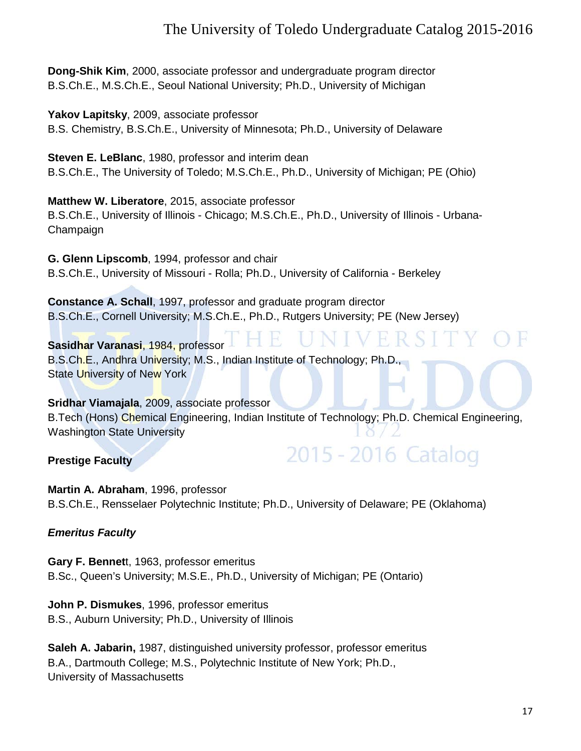**Dong-Shik Kim**, 2000, associate professor and undergraduate program director B.S.Ch.E., M.S.Ch.E., Seoul National University; Ph.D., University of Michigan

**Yakov Lapitsky**, 2009, associate professor B.S. Chemistry, B.S.Ch.E., University of Minnesota; Ph.D., University of Delaware

**Steven E. LeBlanc**, 1980, professor and interim dean B.S.Ch.E., The University of Toledo; M.S.Ch.E., Ph.D., University of Michigan; PE (Ohio)

**Matthew W. Liberatore**, 2015, associate professor B.S.Ch.E., University of Illinois - Chicago; M.S.Ch.E., Ph.D., University of Illinois - Urbana-Champaign

**G. Glenn Lipscomb**, 1994, professor and chair B.S.Ch.E., University of Missouri - Rolla; Ph.D., University of California - Berkeley

**Constance A. Schall**, 1997, professor and graduate program director B.S.Ch.E., Cornell University; M.S.Ch.E., Ph.D., Rutgers University; PE (New Jersey)

**Sasidhar Varanasi**, 1984, professor B.S.Ch.E., Andhra University; M.S., Indian Institute of Technology; Ph.D., State University of New York

**Sridhar Viamajala**, 2009, associate professor B.Tech (Hons) Chemical Engineering, Indian Institute of Technology; Ph.D. Chemical Engineering, Washington State University

#### **Prestige Faculty**

2015 - 2016 Catalog

**Martin A. Abraham**, 1996, professor B.S.Ch.E., Rensselaer Polytechnic Institute; Ph.D., University of Delaware; PE (Oklahoma)

#### *Emeritus Faculty*

**Gary F. Bennet**t, 1963, professor emeritus B.Sc., Queen's University; M.S.E., Ph.D., University of Michigan; PE (Ontario)

**John P. Dismukes**, 1996, professor emeritus B.S., Auburn University; Ph.D., University of Illinois

**Saleh A. Jabarin,** 1987, distinguished university professor, professor emeritus B.A., Dartmouth College; M.S., Polytechnic Institute of New York; Ph.D., University of Massachusetts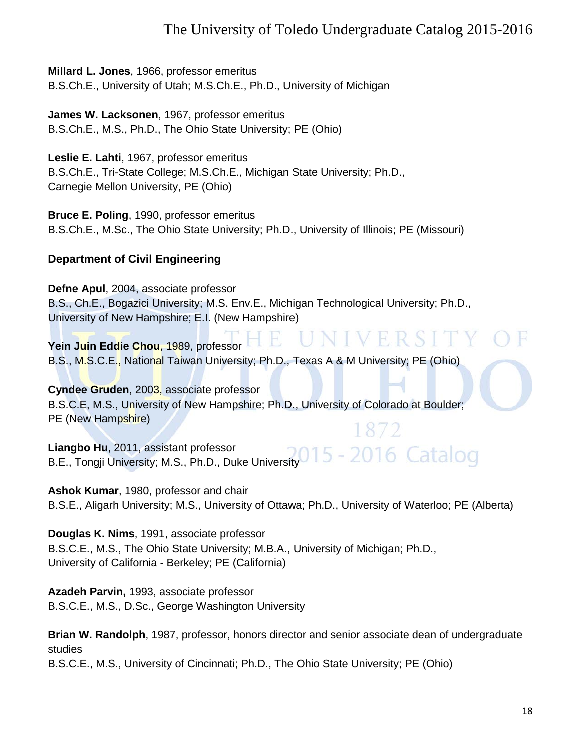**Millard L. Jones**, 1966, professor emeritus B.S.Ch.E., University of Utah; M.S.Ch.E., Ph.D., University of Michigan

**James W. Lacksonen**, 1967, professor emeritus B.S.Ch.E., M.S., Ph.D., The Ohio State University; PE (Ohio)

**Leslie E. Lahti**, 1967, professor emeritus B.S.Ch.E., Tri-State College; M.S.Ch.E., Michigan State University; Ph.D., Carnegie Mellon University, PE (Ohio)

**Bruce E. Poling**, 1990, professor emeritus B.S.Ch.E., M.Sc., The Ohio State University; Ph.D., University of Illinois; PE (Missouri)

#### **Department of Civil Engineering**

**Defne Apul**, 2004, associate professor B.S., Ch.E., Bogazici University; M.S. Env.E., Michigan Technological University; Ph.D., University of New Hampshire; E.I. (New Hampshire)

Ħ. **Yein Juin Eddie Chou**, 1989, professor B.S., M.S.C.E., National Taiwan University; Ph.D., Texas A & M University; PE (Ohio)

**Cyndee Gruden**, 2003, associate professor B.S.C.E, M.S., University of New Hampshire; Ph.D., University of Colorado at Boulder; PE (New Hampshire)

**Liangbo Hu**, 2011, assistant professor 2016 Catalog B.E., Tongji University; M.S., Ph.D., Duke University

**Ashok Kumar**, 1980, professor and chair B.S.E., Aligarh University; M.S., University of Ottawa; Ph.D., University of Waterloo; PE (Alberta)

**Douglas K. Nims**, 1991, associate professor B.S.C.E., M.S., The Ohio State University; M.B.A., University of Michigan; Ph.D., University of California - Berkeley; PE (California)

**Azadeh Parvin,** 1993, associate professor B.S.C.E., M.S., D.Sc., George Washington University

**Brian W. Randolph**, 1987, professor, honors director and senior associate dean of undergraduate studies

B.S.C.E., M.S., University of Cincinnati; Ph.D., The Ohio State University; PE (Ohio)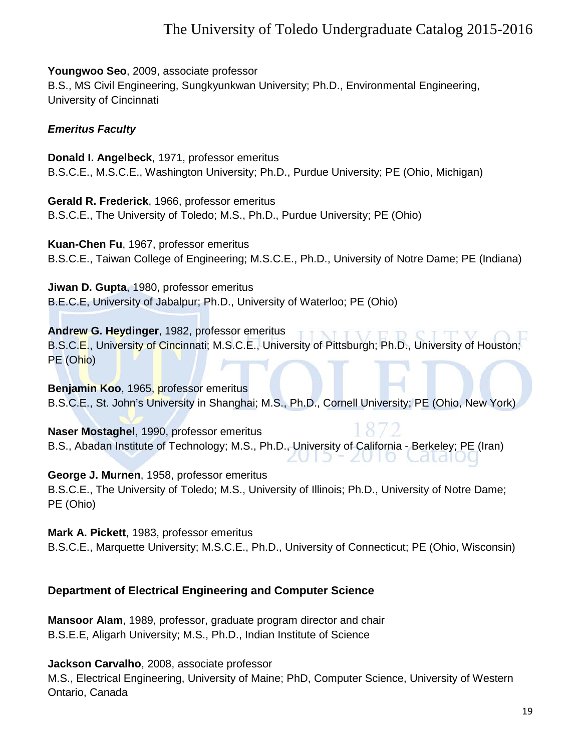**Youngwoo Seo**, 2009, associate professor B.S., MS Civil Engineering, Sungkyunkwan University; Ph.D., Environmental Engineering, University of Cincinnati

#### *Emeritus Faculty*

**Donald I. Angelbeck**, 1971, professor emeritus B.S.C.E., M.S.C.E., Washington University; Ph.D., Purdue University; PE (Ohio, Michigan)

**Gerald R. Frederick**, 1966, professor emeritus B.S.C.E., The University of Toledo; M.S., Ph.D., Purdue University; PE (Ohio)

**Kuan-Chen Fu**, 1967, professor emeritus B.S.C.E., Taiwan College of Engineering; M.S.C.E., Ph.D., University of Notre Dame; PE (Indiana)

**Jiwan D. Gupta**, 1980, professor emeritus B.E.C.E, University of Jabalpur; Ph.D., University of Waterloo; PE (Ohio)

**Andrew G. Heydinger**, 1982, professor emeritus B.S.C.E., University of Cincinnati; M.S.C.E., University of Pittsburgh; Ph.D., University of Houston; PE (Ohio)

**Benjamin Koo**, 1965, professor emeritus B.S.C.E., St. John's University in Shanghai; M.S., Ph.D., Cornell University; PE (Ohio, New York)

**Naser Mostaghel**, 1990, professor emeritus B.S., Abadan Institute of Technology; M.S., Ph.D., University of California - Berkeley; PE (Iran)

**George J. Murnen**, 1958, professor emeritus B.S.C.E., The University of Toledo; M.S., University of Illinois; Ph.D., University of Notre Dame; PE (Ohio)

**Mark A. Pickett**, 1983, professor emeritus B.S.C.E., Marquette University; M.S.C.E., Ph.D., University of Connecticut; PE (Ohio, Wisconsin)

#### **Department of Electrical Engineering and Computer Science**

**Mansoor Alam**, 1989, professor, graduate program director and chair B.S.E.E, Aligarh University; M.S., Ph.D., Indian Institute of Science

**Jackson Carvalho**, 2008, associate professor

M.S., Electrical Engineering, University of Maine; PhD, Computer Science, University of Western Ontario, Canada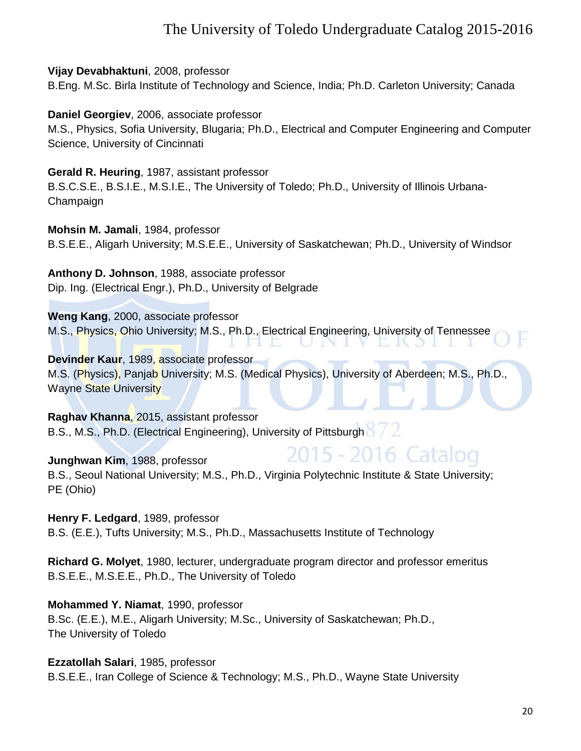#### **Vijay Devabhaktuni**, 2008, professor

B.Eng. M.Sc. Birla Institute of Technology and Science, India; Ph.D. Carleton University; Canada

#### **Daniel Georgiev**, 2006, associate professor

M.S., Physics, Sofia University, Blugaria; Ph.D., Electrical and Computer Engineering and Computer Science, University of Cincinnati

#### **Gerald R. Heuring**, 1987, assistant professor

B.S.C.S.E., B.S.I.E., M.S.I.E., The University of Toledo; Ph.D., University of Illinois Urbana-Champaign

#### **Mohsin M. Jamali**, 1984, professor

B.S.E.E., Aligarh University; M.S.E.E., University of Saskatchewan; Ph.D., University of Windsor

#### **Anthony D. Johnson**, 1988, associate professor

Dip. Ing. (Electrical Engr.), Ph.D., University of Belgrade

**Weng Kang**, 2000, associate professor M.S., Physics, Ohio University; M.S., Ph.D., Electrical Engineering, University of Tennessee L T. ERJI

**Devinder Kaur**, 1989, associate professor M.S. (Physics), Panjab University; M.S. (Medical Physics), University of Aberdeen; M.S., Ph.D., Wayne State University

**Raghav Khanna**, 2015, assistant professor B.S., M.S., Ph.D. (Electrical Engineering), University of Pittsburgh 8 / 2

#### **Junghwan Kim**, 1988, professor

B.S., Seoul National University; M.S., Ph.D., Virginia Polytechnic Institute & State University; PE (Ohio)

2015 - 2016 Catalog

#### **Henry F. Ledgard**, 1989, professor

B.S. (E.E.), Tufts University; M.S., Ph.D., Massachusetts Institute of Technology

**Richard G. Molyet**, 1980, lecturer, undergraduate program director and professor emeritus B.S.E.E., M.S.E.E., Ph.D., The University of Toledo

#### **Mohammed Y. Niamat**, 1990, professor

B.Sc. (E.E.), M.E., Aligarh University; M.Sc., University of Saskatchewan; Ph.D., The University of Toledo

#### **Ezzatollah Salari**, 1985, professor

B.S.E.E., Iran College of Science & Technology; M.S., Ph.D., Wayne State University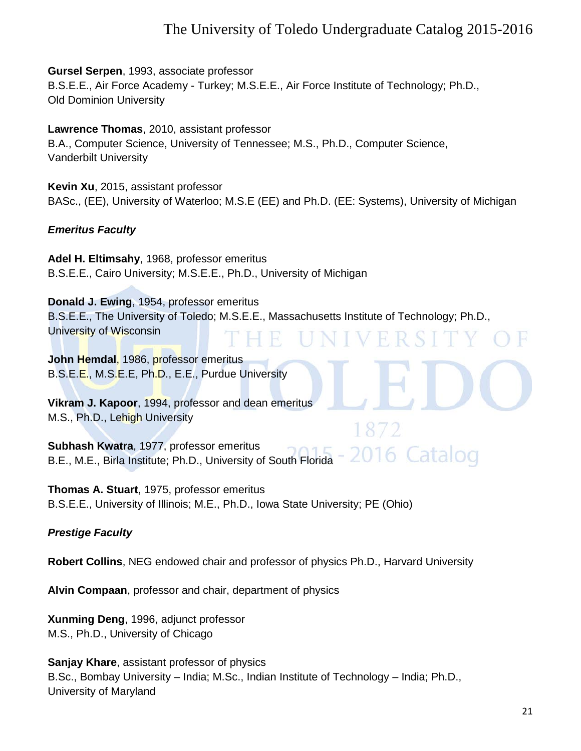**Gursel Serpen**, 1993, associate professor B.S.E.E., Air Force Academy - Turkey; M.S.E.E., Air Force Institute of Technology; Ph.D., Old Dominion University

**Lawrence Thomas**, 2010, assistant professor B.A., Computer Science, University of Tennessee; M.S., Ph.D., Computer Science, Vanderbilt University

**Kevin Xu**, 2015, assistant professor BASc., (EE), University of Waterloo; M.S.E (EE) and Ph.D. (EE: Systems), University of Michigan

#### *Emeritus Faculty*

**Adel H. Eltimsahy**, 1968, professor emeritus B.S.E.E., Cairo University; M.S.E.E., Ph.D., University of Michigan

**Donald J. Ewing**, 1954, professor emeritus B.S.E.E., The University of Toledo; M.S.E.E., Massachusetts Institute of Technology; Ph.D., University of Wisconsin

**John Hemdal**, 1986, professor emeritus B.S.E.E., M.S.E.E, Ph.D., E.E., Purdue University

**Vikram J. Kapoor**, 1994, professor and dean emeritus M.S., Ph.D., Lehigh University

**Subhash Kwatra**, 1977, professor emeritus 6 Catalog B.E., M.E., Birla Institute; Ph.D., University of South Florida

**Thomas A. Stuart**, 1975, professor emeritus B.S.E.E., University of Illinois; M.E., Ph.D., Iowa State University; PE (Ohio)

#### *Prestige Faculty*

**Robert Collins**, NEG endowed chair and professor of physics Ph.D., Harvard University

**Alvin Compaan**, professor and chair, department of physics

**Xunming Deng**, 1996, adjunct professor M.S., Ph.D., University of Chicago

**Sanjay Khare**, assistant professor of physics B.Sc., Bombay University – India; M.Sc., Indian Institute of Technology – India; Ph.D., University of Maryland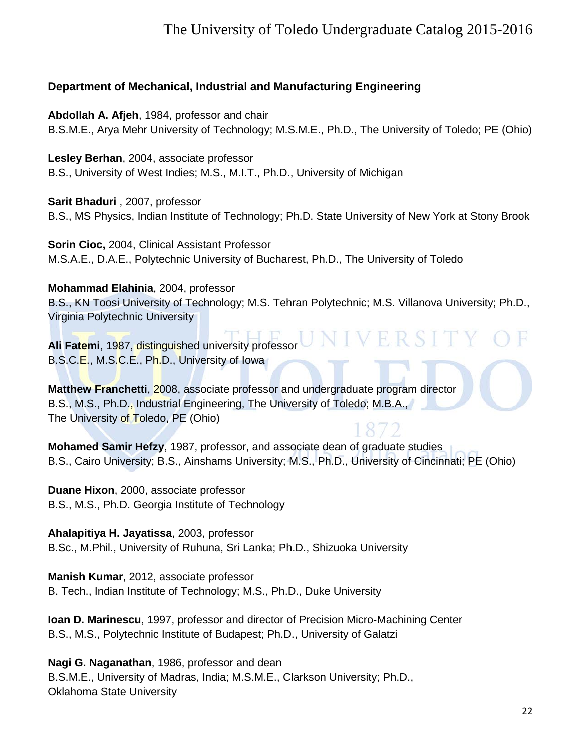VERSI

#### **Department of Mechanical, Industrial and Manufacturing Engineering**

**Abdollah A. Afjeh**, 1984, professor and chair B.S.M.E., Arya Mehr University of Technology; M.S.M.E., Ph.D., The University of Toledo; PE (Ohio)

**Lesley Berhan**, 2004, associate professor B.S., University of West Indies; M.S., M.I.T., Ph.D., University of Michigan

**Sarit Bhaduri** , 2007, professor B.S., MS Physics, Indian Institute of Technology; Ph.D. State University of New York at Stony Brook

**Sorin Cioc,** 2004, Clinical Assistant Professor M.S.A.E., D.A.E., Polytechnic University of Bucharest, Ph.D., The University of Toledo

#### **Mohammad Elahinia**, 2004, professor

B.S., KN Toosi University of Technology; M.S. Tehran Polytechnic; M.S. Villanova University; Ph.D., Virginia Polytechnic University

**Ali Fatemi**, 1987, distinguished university professor B.S.C.E., M.S.C.E., Ph.D., University of Iowa

**Matthew Franchetti**, 2008, associate professor and undergraduate program director B.S., M.S., Ph.D., Industrial Engineering, The University of Toledo; M.B.A., The University of Toledo, PE (Ohio)

**Mohamed Samir Hefzy**, 1987, professor, and associate dean of graduate studies B.S., Cairo University; B.S., Ainshams University; M.S., Ph.D., University of Cincinnati; PE (Ohio)

**Duane Hixon**, 2000, associate professor B.S., M.S., Ph.D. Georgia Institute of Technology

**Ahalapitiya H. Jayatissa**, 2003, professor B.Sc., M.Phil., University of Ruhuna, Sri Lanka; Ph.D., Shizuoka University

**Manish Kumar**, 2012, associate professor B. Tech., Indian Institute of Technology; M.S., Ph.D., Duke University

**Ioan D. Marinescu**, 1997, professor and director of Precision Micro-Machining Center B.S., M.S., Polytechnic Institute of Budapest; Ph.D., University of Galatzi

**Nagi G. Naganathan**, 1986, professor and dean B.S.M.E., University of Madras, India; M.S.M.E., Clarkson University; Ph.D., Oklahoma State University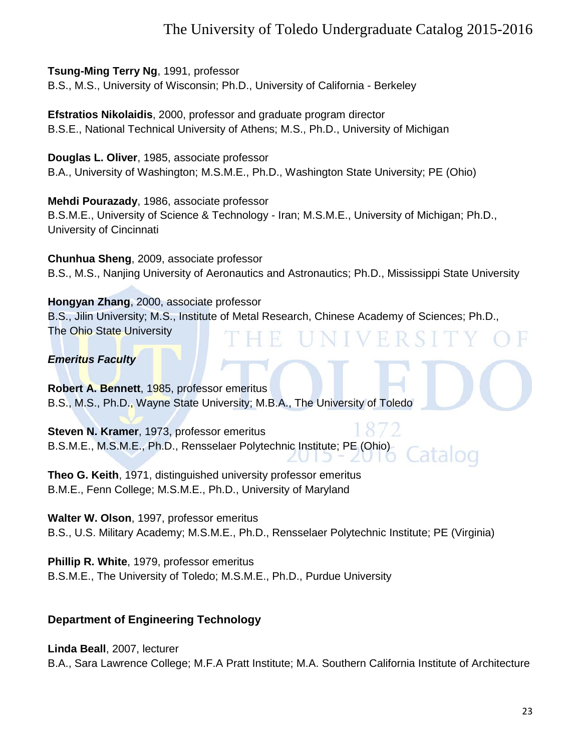#### **Tsung-Ming Terry Ng**, 1991, professor

B.S., M.S., University of Wisconsin; Ph.D., University of California - Berkeley

**Efstratios Nikolaidis**, 2000, professor and graduate program director B.S.E., National Technical University of Athens; M.S., Ph.D., University of Michigan

**Douglas L. Oliver**, 1985, associate professor B.A., University of Washington; M.S.M.E., Ph.D., Washington State University; PE (Ohio)

**Mehdi Pourazady**, 1986, associate professor B.S.M.E., University of Science & Technology - Iran; M.S.M.E., University of Michigan; Ph.D., University of Cincinnati

**Chunhua Sheng**, 2009, associate professor B.S., M.S., Nanjing University of Aeronautics and Astronautics; Ph.D., Mississippi State University

**Hongyan Zhang**, 2000, associate professor B.S., Jilin University; M.S., Institute of Metal Research, Chinese Academy of Sciences; Ph.D., The Ohio State University

*Emeritus Faculty* 

**Robert A. Bennett**, 1985, professor emeritus B.S., M.S., Ph.D., Wayne State University; M.B.A., The University of Toledo

**Steven N. Kramer**, 1973, professor emeritus B.S.M.E., M.S.M.E., Ph.D., Rensselaer Polytechnic Institute; PE (Ohio)

**Theo G. Keith**, 1971, distinguished university professor emeritus B.M.E., Fenn College; M.S.M.E., Ph.D., University of Maryland

**Walter W. Olson**, 1997, professor emeritus B.S., U.S. Military Academy; M.S.M.E., Ph.D., Rensselaer Polytechnic Institute; PE (Virginia)

**Phillip R. White**, 1979, professor emeritus B.S.M.E., The University of Toledo; M.S.M.E., Ph.D., Purdue University

#### **Department of Engineering Technology**

**Linda Beall**, 2007, lecturer

B.A., Sara Lawrence College; M.F.A Pratt Institute; M.A. Southern California Institute of Architecture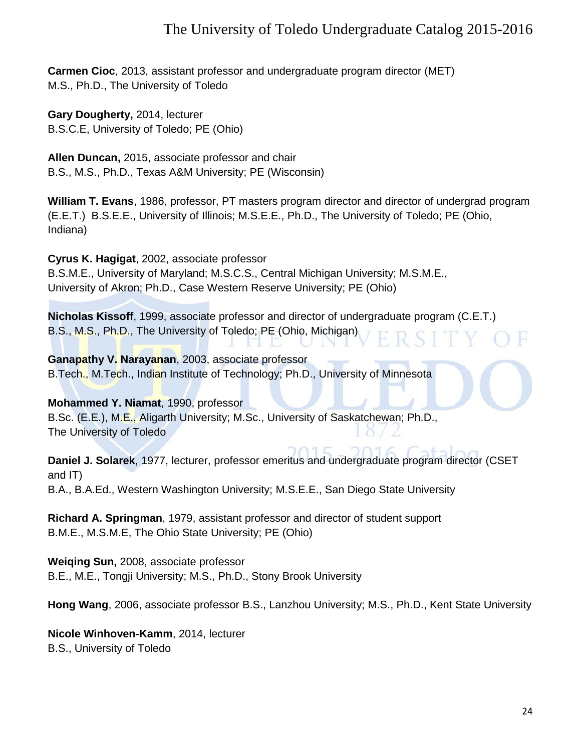**Carmen Cioc**, 2013, assistant professor and undergraduate program director (MET) M.S., Ph.D., The University of Toledo

**Gary Dougherty,** 2014, lecturer B.S.C.E, University of Toledo; PE (Ohio)

**Allen Duncan,** 2015, associate professor and chair B.S., M.S., Ph.D., Texas A&M University; PE (Wisconsin)

**William T. Evans**, 1986, professor, PT masters program director and director of undergrad program (E.E.T.) B.S.E.E., University of Illinois; M.S.E.E., Ph.D., The University of Toledo; PE (Ohio, Indiana)

**Cyrus K. Hagigat**, 2002, associate professor B.S.M.E., University of Maryland; M.S.C.S., Central Michigan University; M.S.M.E., University of Akron; Ph.D., Case Western Reserve University; PE (Ohio)

**Nicholas Kissoff**, 1999, associate professor and director of undergraduate program (C.E.T.) B.S., M.S., Ph.D., The University of Toledo; PE (Ohio, Michigan)

**Ganapathy V. Narayanan**, 2003, associate professor B.Tech., M.Tech., Indian Institute of Technology; Ph.D., University of Minnesota

**Mohammed Y. Niamat**, 1990, professor B.Sc. (E.E.), M.E., Aligarth University; M.Sc., University of Saskatchewan; Ph.D., The University of Toledo

**Daniel J. Solarek**, 1977, lecturer, professor emeritus and undergraduate program director (CSET and IT) B.A., B.A.Ed., Western Washington University; M.S.E.E., San Diego State University

**Richard A. Springman**, 1979, assistant professor and director of student support B.M.E., M.S.M.E, The Ohio State University; PE (Ohio)

**Weiqing Sun,** 2008, associate professor B.E., M.E., Tongji University; M.S., Ph.D., Stony Brook University

**Hong Wang**, 2006, associate professor B.S., Lanzhou University; M.S., Ph.D., Kent State University

**Nicole Winhoven-Kamm**, 2014, lecturer B.S., University of Toledo